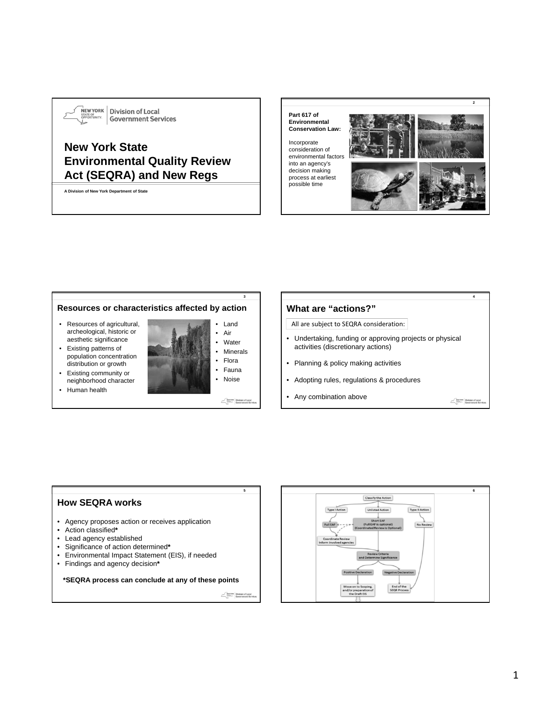

 $\frac{1}{N}$ EWYORK Division of Local **Government Services** 

# **New York State Environmental Quality Review Act (SEQRA) and New Regs**

**A Division of New York Department of State**

**Part 617 of Environmental Conservation Law:** 

Incorporate consideration of environmental factors into an agency's decision making process at earliest possible time



#### **3 Resources or characteristics affected by action** Land • Resources of agricultural, archeological, historic or • Air aesthetic significance • Water • Existing patterns of **Minerals** population concentration • Flora distribution or growth • Fauna • Existing community or • Noise neighborhood character • Human health MEMYORK Division of Loc

### **What are "actions?"**

All are subject to SEQRA consideration:

- Undertaking, funding or approving projects or physical activities (discretionary actions)
- Planning & policy making activities
- Adopting rules, regulations & procedures
- Any combination above

MENYORK Division of Local



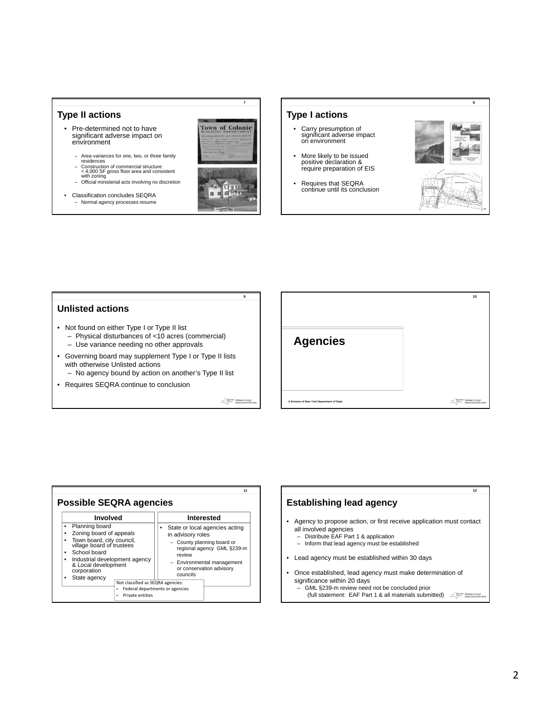#### **Type II actions**

- Pre-determined not to have significant adverse impact on environment
	- Area variances for one, two, or three family residences
	- Construction of commercial structure < 4,000 SF gross floor area and consistent with zoning Official ministerial acts involving no discretion
	-
- Classification concludes SEQRA – Normal agency processes resume



**7**

#### **Type I actions**

- Carry presumption of significant adverse impact on environment
- More likely to be issued positive declaration & require preparation of EIS
- Requires that SEQRA continue until its conclusion



#### **Unlisted actions**

- Not found on either Type I or Type II list
	- Physical disturbances of <10 acres (commercial)
	- Use variance needing no other approvals
- Governing board may supplement Type I or Type II lists with otherwise Unlisted actions
	- No agency bound by action on another's Type II list
- Requires SEQRA continue to conclusion

MENYORK Division of Local

**9**



| Planning board<br>٠<br>State or local agencies acting<br>Zoning board of appeals<br>in advisory roles<br>Town board, city council,<br>٠<br>- County planning board or<br>village board of trustees<br>regional agency GML §239-m<br>School board<br>٠<br>review |  |
|-----------------------------------------------------------------------------------------------------------------------------------------------------------------------------------------------------------------------------------------------------------------|--|
| Industrial development agency<br>٠<br>Environmental management<br>& Local development<br>or conservation advisory<br>corporation<br>councils<br>State agency<br>٠                                                                                               |  |

## **12 Establishing lead agency** • Agency to propose action, or first receive application must contact all involved agencies – Distribute EAF Part 1 & application – Inform that lead agency must be established • Lead agency must be established within 30 days • Once established, lead agency must make determination of significance within 20 days

– GML §239-m review need not be concluded prior (full statement: EAF Part 1 & all materials submitted)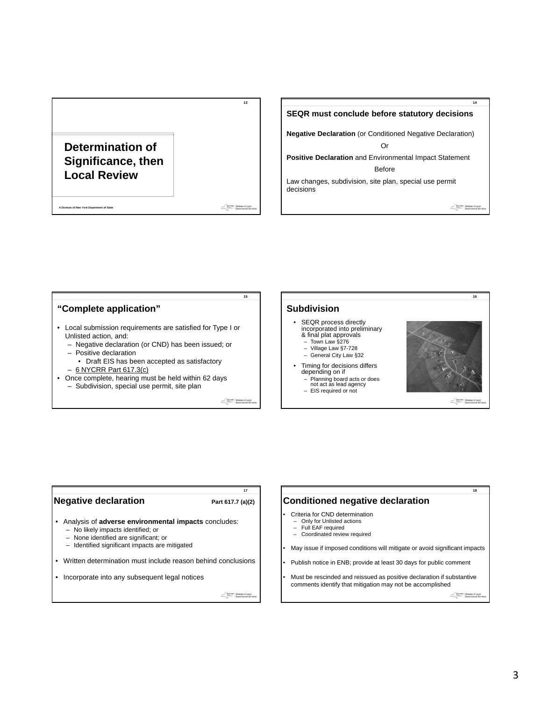# **Determination of Significance, then Local Review**

**A Division of New York Department of State**

Sewyork Division of Local

**13**

#### **SEQR must conclude before statutory decisions**

**Negative Declaration** (or Conditioned Negative Declaration) Or

**Positive Declaration** and Environmental Impact Statement Before

Law changes, subdivision, site plan, special use permit decisions

SENYORK Division of Local

**14**

#### **15 16 "Complete application" Subdivision** • SEQR process directly incorporated into preliminary & final plat approvals • Local submission requirements are satisfied for Type I or Unlisted action, and: – Town Law §276 – Negative declaration (or CND) has been issued; or – Village Law §7-728 – Positive declaration – General City Law §32 • Draft EIS has been accepted as satisfactory Timing for decisions differs – 6 NYCRR Part 617.3(c) depending on if • Once complete, hearing must be held within 62 days – Planning board acts or does not act as lead agency – Subdivision, special use permit, site plan – EIS required or not MENYORK Division of Local

#### **Negative declaration** Part 617.7 (a)(2)

# **17**

- Analysis of **adverse environmental impacts** concludes:
	- No likely impacts identified; or
	- None identified are significant; or
	- Identified significant impacts are mitigated
- Written determination must include reason behind conclusions
- Incorporate into any subsequent legal notices

 $\begin{tabular}{l|c|c|} \hline & new class & \text{Division of Local}\\ \hline & \text{Sovernment Ser} \\ \hline & \text{Sovernment Ser} \end{tabular}$ 

#### **Conditioned negative declaration**

- Criteria for CND determination
	- Only for Unlisted actions
	- Full EAF required<br>– Coordinated review – Coordinated review required
- May issue if imposed conditions will mitigate or avoid significant impacts
- Publish notice in ENB; provide at least 30 days for public comment
- Must be rescinded and reissued as positive declaration if substantive comments identify that mitigation may not be accomplished

 $\begin{tabular}{l|c|c|} \hline & new class & \textbf{Division of Local} \\ \hline & \textbf{user} & \textbf{Government Ser} \\ \hline & \textbf{for} & \textbf{Server} \end{tabular}$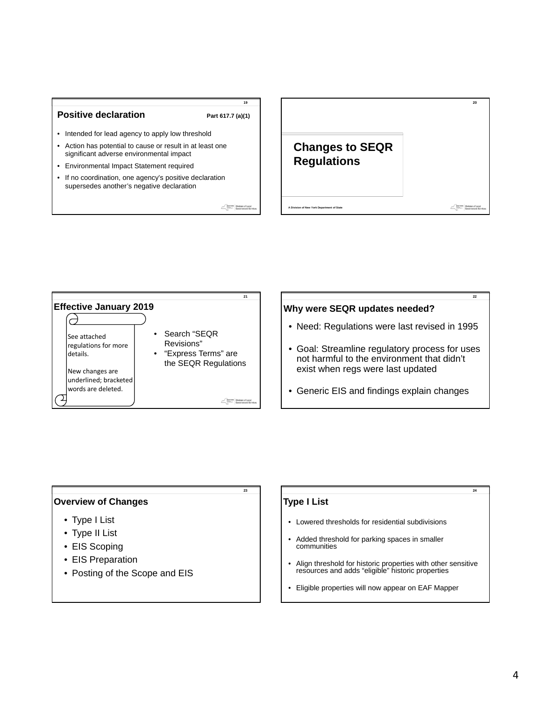#### **Positive declaration** Part 617.7 (a)(1)

**19**

- Intended for lead agency to apply low threshold
- Action has potential to cause or result in at least one significant adverse environmental impact
- Environmental Impact Statement required
- If no coordination, one agency's positive declaration supersedes another's negative declaration

MEMYORK Division of Loc





#### **Why were SEQR updates needed?**

• Need: Regulations were last revised in 1995

**22**

- Goal: Streamline regulatory process for uses not harmful to the environment that didn't exist when regs were last updated
- Generic EIS and findings explain changes

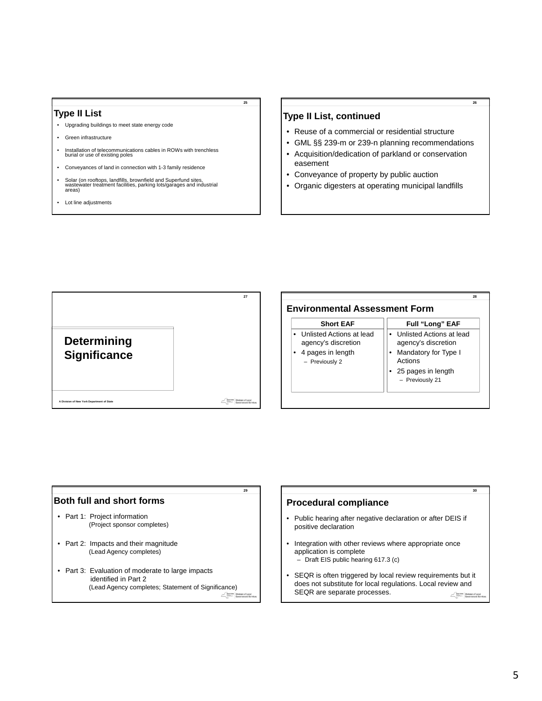#### **Type II List**

- Upgrading buildings to meet state energy code
- Green infrastructure
- Installation of telecommunications cables in ROWs with trenchless burial or use of existing poles
- Conveyances of land in connection with 1-3 family residence
- Solar (on rooftops, landfills, brownfield and Superfund sites, wastewater treatment facilities, parking lots/garages and industrial areas)
- Lot line adjustments

#### **Type II List, continued**

**25**

- Reuse of a commercial or residential structure
- GML §§ 239-m or 239-n planning recommendations

- Acquisition/dedication of parkland or conservation easement
- Conveyance of property by public auction
- Organic digesters at operating municipal landfills







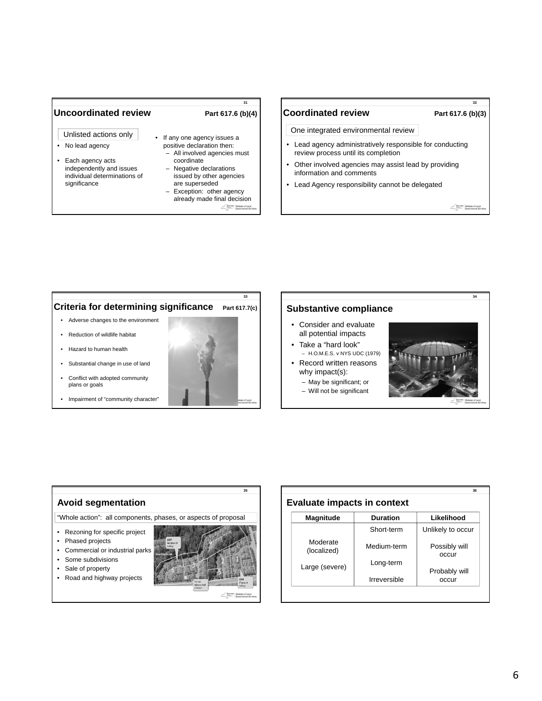#### Uncoordinated review Part 617.6 (b)(4)

- Unlisted actions only
- No lead agency
- Each agency acts independently and issues individual determinations of significance

**31**

- 
- If any one agency issues a positive declaration then: – All involved agencies must
	- coordinate – Negative declarations
	- issued by other agencies are superseded Exception: other agency
	- already made final decision SEWYDRK Division of Local

#### Coordinated review Part 617.6 (b)(3)

**32**

One integrated environmental review

- Lead agency administratively responsible for conducting review process until its completion
- Other involved agencies may assist lead by providing information and comments
- Lead Agency responsibility cannot be delegated

SENYORK Division of Local

**34**



• Impairment of "community character"



#### **Substantive compliance**

- Consider and evaluate all potential impacts
- Take a "hard look" – H.O.M.E.S. v NYS UDC (1979)
- Record written reasons why impact(s):
	- May be significant; or
	- Will not be significant



# **Avoid segmentation**

"Whole action": all components, phases, or aspects of proposal

- Rezoning for specific project
- Phased projects
- Commercial or industrial parks
- Some subdivisions
- Sale of property
- Road and highway projects



| <b>Magnitude</b>        | <b>Duration</b> | Likelihood             |
|-------------------------|-----------------|------------------------|
|                         | Short-term      | Unlikely to occur      |
| Moderate<br>(localized) | Medium-term     | Possibly will<br>occur |
|                         | Long-term       |                        |
| Large (severe)          | Irreversible    | Probably will<br>occur |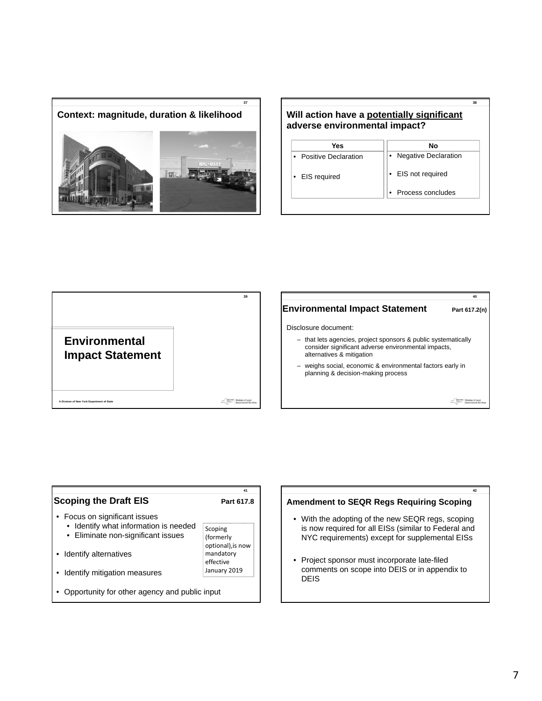





### **Environmental Impact Statement** Part 617.2(n)

Disclosure document:

- that lets agencies, project sponsors & public systematically consider significant adverse environmental impacts, alternatives & mitigation
- weighs social, economic & environmental factors early in planning & decision-making process

MEMYORK Division of Local



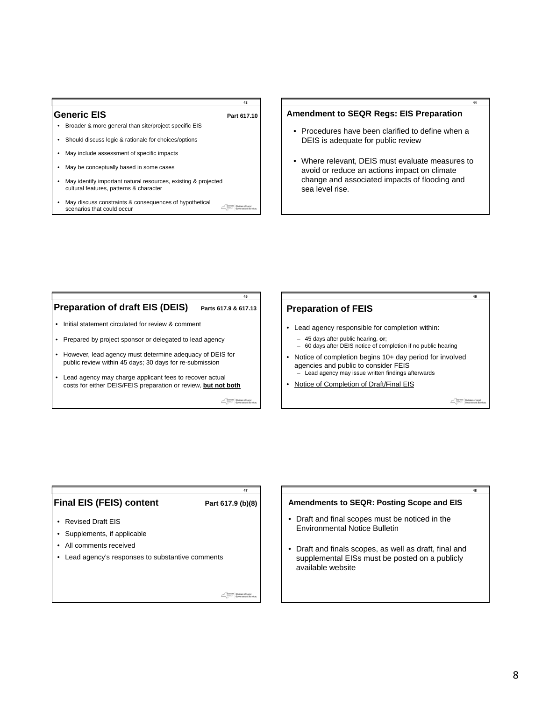#### Generic EIS Part 617.10

# **43**

- Broader & more general than site/project specific EIS • Should discuss logic & rationale for choices/options
- May include assessment of specific impacts
- May be conceptually based in some cases
- May identify important natural resources, existing & projected cultural features, patterns & character
- May discuss constraints & consequences of hypothetical SEMYORK Division of Local scenarios that could occur

#### **Amendment to SEQR Regs: EIS Preparation**

- Procedures have been clarified to define when a DEIS is adequate for public review
- Where relevant, DEIS must evaluate measures to avoid or reduce an actions impact on climate change and associated impacts of flooding and sea level rise.



#### **Preparation of FEIS**

- Lead agency responsible for completion within:
	-
	- 45 days after public hearing, **or**; 60 days after DEIS notice of completion if no public hearing
- Notice of completion begins 10+ day period for involved agencies and public to consider FEIS Lead agency may issue written findings afterwards
- Notice of Completion of Draft/Final EIS

#### MENYORK Division of Local

**46**

**44**

# **Final EIS (FEIS) content** Part 617.9 (b)(8) • Revised Draft EIS • Supplements, if applicable • All comments received • Lead agency's responses to substantive comments Sewyork Division of

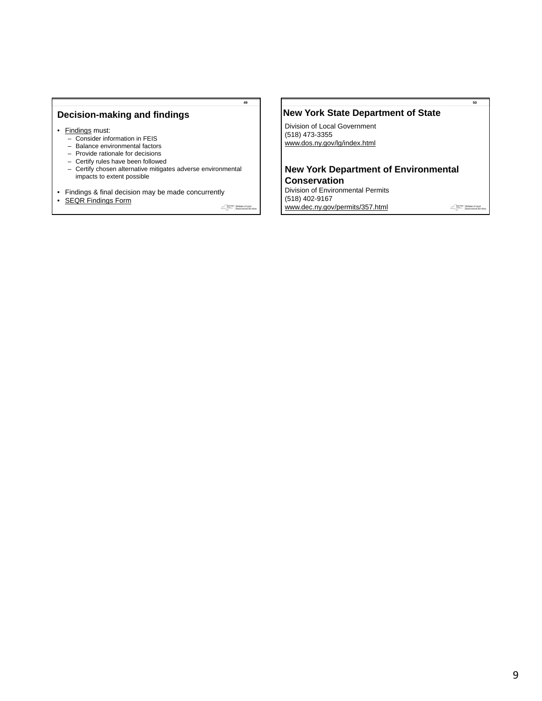#### **Decision-making and findings**

- Findings must:
	- Consider information in FEIS
	- Balance environmental factors
	- Provide rationale for decisions
	- Certify rules have been followed
	- Certify chosen alternative mitigates adverse environmental impacts to extent possible
- Findings & final decision may be made concurrently

• SEQR Findings Form

MEMVIRK Division of Local

**49**

#### **New York State Department of State**

Division of Local Government (518) 473-3355 www.dos.ny.gov/lg/index.html

#### **New York Department of Environmental Conservation**

Division of Environmental Permits (518) 402-9167 www.dec.ny.gov/permits/357.html

Rewysex Division of Local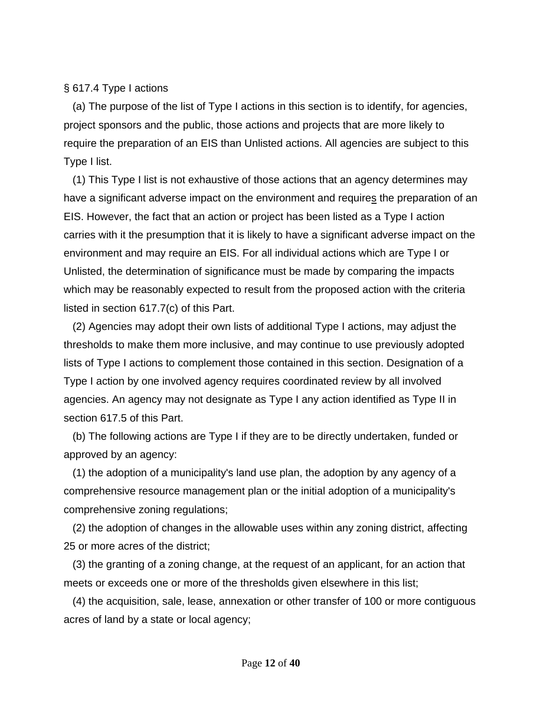§ 617.4 Type I actions

 (a) The purpose of the list of Type I actions in this section is to identify, for agencies, project sponsors and the public, those actions and projects that are more likely to require the preparation of an EIS than Unlisted actions. All agencies are subject to this Type I list.

 (1) This Type I list is not exhaustive of those actions that an agency determines may have a significant adverse impact on the environment and requires the preparation of an EIS. However, the fact that an action or project has been listed as a Type I action carries with it the presumption that it is likely to have a significant adverse impact on the environment and may require an EIS. For all individual actions which are Type I or Unlisted, the determination of significance must be made by comparing the impacts which may be reasonably expected to result from the proposed action with the criteria listed in section 617.7(c) of this Part.

 (2) Agencies may adopt their own lists of additional Type I actions, may adjust the thresholds to make them more inclusive, and may continue to use previously adopted lists of Type I actions to complement those contained in this section. Designation of a Type I action by one involved agency requires coordinated review by all involved agencies. An agency may not designate as Type I any action identified as Type II in section 617.5 of this Part.

 (b) The following actions are Type I if they are to be directly undertaken, funded or approved by an agency:

 (1) the adoption of a municipality's land use plan, the adoption by any agency of a comprehensive resource management plan or the initial adoption of a municipality's comprehensive zoning regulations;

 (2) the adoption of changes in the allowable uses within any zoning district, affecting 25 or more acres of the district;

 (3) the granting of a zoning change, at the request of an applicant, for an action that meets or exceeds one or more of the thresholds given elsewhere in this list;

 (4) the acquisition, sale, lease, annexation or other transfer of 100 or more contiguous acres of land by a state or local agency;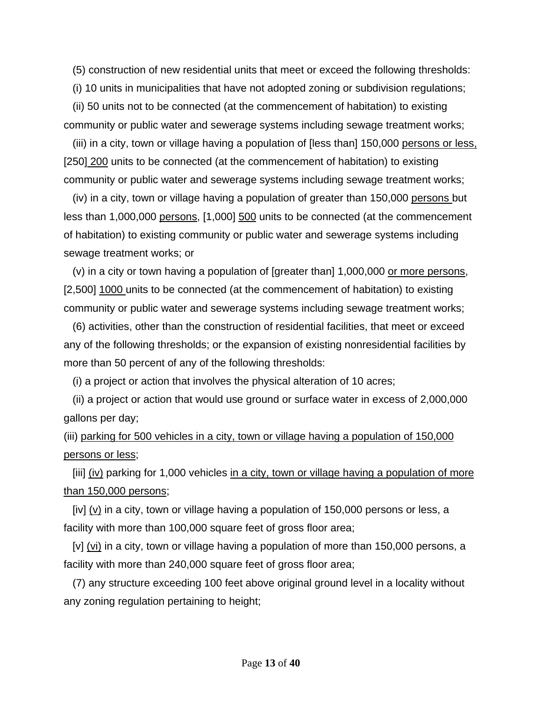(5) construction of new residential units that meet or exceed the following thresholds:

(i) 10 units in municipalities that have not adopted zoning or subdivision regulations;

 (ii) 50 units not to be connected (at the commencement of habitation) to existing community or public water and sewerage systems including sewage treatment works;

(iii) in a city, town or village having a population of [less than] 150,000 persons or less, [250] 200 units to be connected (at the commencement of habitation) to existing community or public water and sewerage systems including sewage treatment works;

 $(iv)$  in a city, town or village having a population of greater than 150,000 persons but less than 1,000,000 persons, [1,000] 500 units to be connected (at the commencement of habitation) to existing community or public water and sewerage systems including sewage treatment works; or

 (v) in a city or town having a population of [greater than] 1,000,000 or more persons, [2,500] 1000 units to be connected (at the commencement of habitation) to existing community or public water and sewerage systems including sewage treatment works;

 (6) activities, other than the construction of residential facilities, that meet or exceed any of the following thresholds; or the expansion of existing nonresidential facilities by more than 50 percent of any of the following thresholds:

(i) a project or action that involves the physical alteration of 10 acres;

 (ii) a project or action that would use ground or surface water in excess of 2,000,000 gallons per day;

(iii) parking for 500 vehicles in a city, town or village having a population of 150,000 persons or less;

 [iii] (iv) parking for 1,000 vehicles in a city, town or village having a population of more than 150,000 persons;

[iv]  $(v)$  in a city, town or village having a population of 150,000 persons or less, a facility with more than 100,000 square feet of gross floor area;

[v] (vi) in a city, town or village having a population of more than 150,000 persons, a facility with more than 240,000 square feet of gross floor area;

 (7) any structure exceeding 100 feet above original ground level in a locality without any zoning regulation pertaining to height;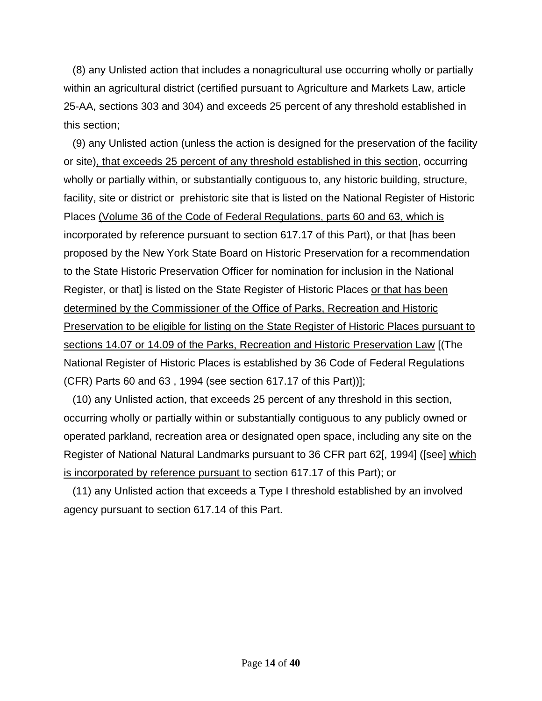(8) any Unlisted action that includes a nonagricultural use occurring wholly or partially within an agricultural district (certified pursuant to Agriculture and Markets Law, article 25-AA, sections 303 and 304) and exceeds 25 percent of any threshold established in this section;

 (9) any Unlisted action (unless the action is designed for the preservation of the facility or site), that exceeds 25 percent of any threshold established in this section, occurring wholly or partially within, or substantially contiguous to, any historic building, structure, facility, site or district or prehistoric site that is listed on the National Register of Historic Places (Volume 36 of the Code of Federal Regulations, parts 60 and 63, which is incorporated by reference pursuant to section 617.17 of this Part), or that [has been proposed by the New York State Board on Historic Preservation for a recommendation to the State Historic Preservation Officer for nomination for inclusion in the National Register, or that] is listed on the State Register of Historic Places or that has been determined by the Commissioner of the Office of Parks, Recreation and Historic Preservation to be eligible for listing on the State Register of Historic Places pursuant to sections 14.07 or 14.09 of the Parks, Recreation and Historic Preservation Law [(The National Register of Historic Places is established by 36 Code of Federal Regulations (CFR) Parts 60 and 63 , 1994 (see section 617.17 of this Part))];

 (10) any Unlisted action, that exceeds 25 percent of any threshold in this section, occurring wholly or partially within or substantially contiguous to any publicly owned or operated parkland, recreation area or designated open space, including any site on the Register of National Natural Landmarks pursuant to 36 CFR part 62[, 1994] ([see] which is incorporated by reference pursuant to section 617.17 of this Part); or

 (11) any Unlisted action that exceeds a Type I threshold established by an involved agency pursuant to section 617.14 of this Part.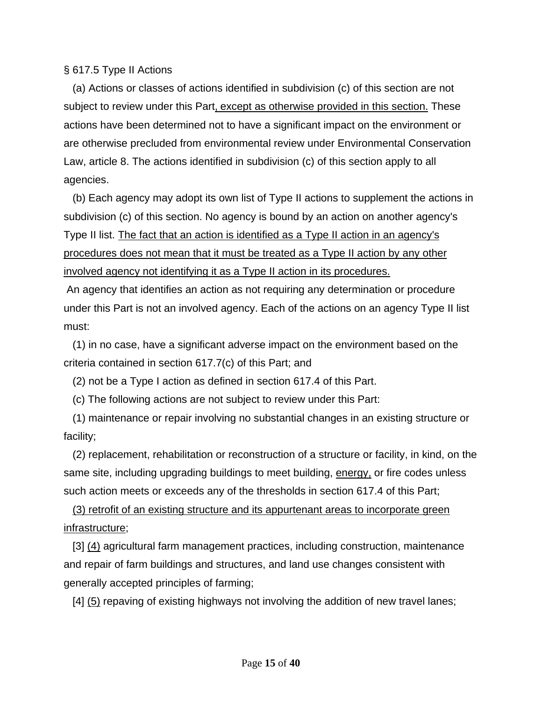### § 617.5 Type II Actions

 (a) Actions or classes of actions identified in subdivision (c) of this section are not subject to review under this Part, except as otherwise provided in this section. These actions have been determined not to have a significant impact on the environment or are otherwise precluded from environmental review under Environmental Conservation Law, article 8. The actions identified in subdivision (c) of this section apply to all agencies.

 (b) Each agency may adopt its own list of Type II actions to supplement the actions in subdivision (c) of this section. No agency is bound by an action on another agency's Type II list. The fact that an action is identified as a Type II action in an agency's procedures does not mean that it must be treated as a Type II action by any other involved agency not identifying it as a Type II action in its procedures.

 An agency that identifies an action as not requiring any determination or procedure under this Part is not an involved agency. Each of the actions on an agency Type II list must:

 (1) in no case, have a significant adverse impact on the environment based on the criteria contained in section 617.7(c) of this Part; and

(2) not be a Type I action as defined in section 617.4 of this Part.

(c) The following actions are not subject to review under this Part:

 (1) maintenance or repair involving no substantial changes in an existing structure or facility;

 (2) replacement, rehabilitation or reconstruction of a structure or facility, in kind, on the same site, including upgrading buildings to meet building, energy, or fire codes unless such action meets or exceeds any of the thresholds in section 617.4 of this Part;

 (3) retrofit of an existing structure and its appurtenant areas to incorporate green infrastructure;

[3] (4) agricultural farm management practices, including construction, maintenance and repair of farm buildings and structures, and land use changes consistent with generally accepted principles of farming;

[4] (5) repaving of existing highways not involving the addition of new travel lanes;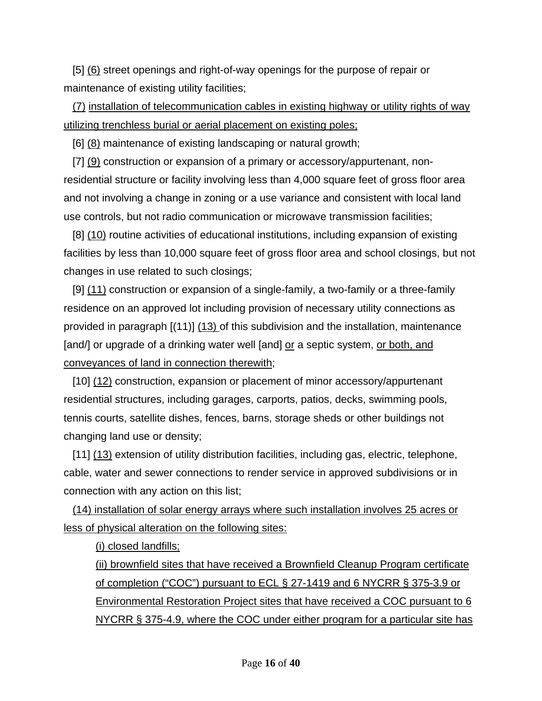[5] (6) street openings and right-of-way openings for the purpose of repair or maintenance of existing utility facilities;

 (7) installation of telecommunication cables in existing highway or utility rights of way utilizing trenchless burial or aerial placement on existing poles;

[6] (8) maintenance of existing landscaping or natural growth;

 [7] (9) construction or expansion of a primary or accessory/appurtenant, nonresidential structure or facility involving less than 4,000 square feet of gross floor area and not involving a change in zoning or a use variance and consistent with local land use controls, but not radio communication or microwave transmission facilities;

 [8] (10) routine activities of educational institutions, including expansion of existing facilities by less than 10,000 square feet of gross floor area and school closings, but not changes in use related to such closings;

 [9] (11) construction or expansion of a single-family, a two-family or a three-family residence on an approved lot including provision of necessary utility connections as provided in paragraph [(11)] (13) of this subdivision and the installation, maintenance [and/] or upgrade of a drinking water well [and] or a septic system, or both, and conveyances of land in connection therewith;

 [10] (12) construction, expansion or placement of minor accessory/appurtenant residential structures, including garages, carports, patios, decks, swimming pools, tennis courts, satellite dishes, fences, barns, storage sheds or other buildings not changing land use or density;

[11] (13) extension of utility distribution facilities, including gas, electric, telephone, cable, water and sewer connections to render service in approved subdivisions or in connection with any action on this list;

 (14) installation of solar energy arrays where such installation involves 25 acres or less of physical alteration on the following sites:

(i) closed landfills;

(ii) brownfield sites that have received a Brownfield Cleanup Program certificate of completion ("COC") pursuant to ECL § 27-1419 and 6 NYCRR § 375-3.9 or Environmental Restoration Project sites that have received a COC pursuant to 6 NYCRR § 375-4.9, where the COC under either program for a particular site has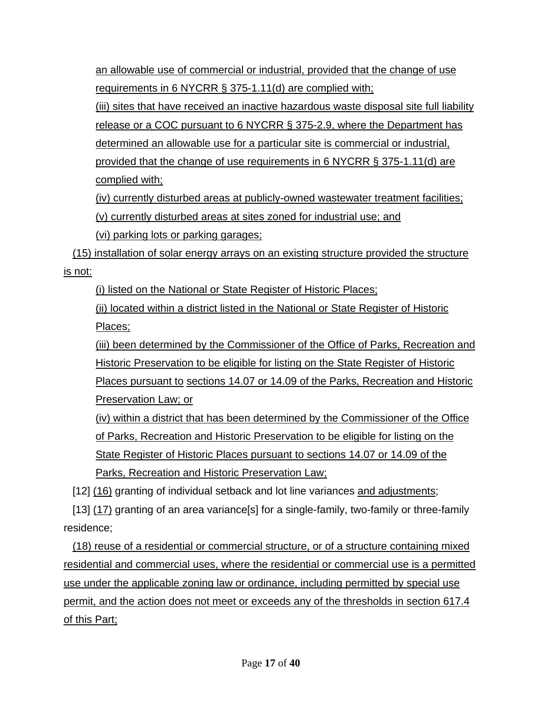an allowable use of commercial or industrial, provided that the change of use requirements in 6 NYCRR § 375-1.11(d) are complied with;

(iii) sites that have received an inactive hazardous waste disposal site full liability release or a COC pursuant to 6 NYCRR § 375-2.9, where the Department has determined an allowable use for a particular site is commercial or industrial, provided that the change of use requirements in 6 NYCRR § 375-1.11(d) are

complied with;

(iv) currently disturbed areas at publicly-owned wastewater treatment facilities; (v) currently disturbed areas at sites zoned for industrial use; and

(vi) parking lots or parking garages;

 (15) installation of solar energy arrays on an existing structure provided the structure is not:

(i) listed on the National or State Register of Historic Places;

(ii) located within a district listed in the National or State Register of Historic Places;

(iii) been determined by the Commissioner of the Office of Parks, Recreation and Historic Preservation to be eligible for listing on the State Register of Historic Places pursuant to sections 14.07 or 14.09 of the Parks, Recreation and Historic Preservation Law; or

(iv) within a district that has been determined by the Commissioner of the Office of Parks, Recreation and Historic Preservation to be eligible for listing on the State Register of Historic Places pursuant to sections 14.07 or 14.09 of the Parks, Recreation and Historic Preservation Law;

[12] (16) granting of individual setback and lot line variances and adjustments;

 [13] (17) granting of an area variance[s] for a single-family, two-family or three-family residence;

 (18) reuse of a residential or commercial structure, or of a structure containing mixed residential and commercial uses, where the residential or commercial use is a permitted use under the applicable zoning law or ordinance, including permitted by special use permit, and the action does not meet or exceeds any of the thresholds in section 617.4 of this Part;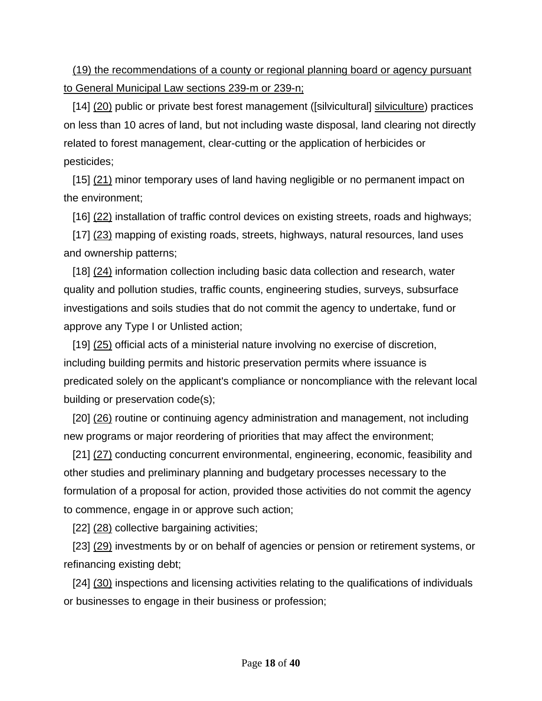(19) the recommendations of a county or regional planning board or agency pursuant to General Municipal Law sections 239-m or 239-n;

[14] (20) public or private best forest management ([silvicultural] silviculture) practices on less than 10 acres of land, but not including waste disposal, land clearing not directly related to forest management, clear-cutting or the application of herbicides or pesticides;

 [15] (21) minor temporary uses of land having negligible or no permanent impact on the environment;

[16] (22) installation of traffic control devices on existing streets, roads and highways;

[17] (23) mapping of existing roads, streets, highways, natural resources, land uses and ownership patterns;

 [18] (24) information collection including basic data collection and research, water quality and pollution studies, traffic counts, engineering studies, surveys, subsurface investigations and soils studies that do not commit the agency to undertake, fund or approve any Type I or Unlisted action;

[19] (25) official acts of a ministerial nature involving no exercise of discretion, including building permits and historic preservation permits where issuance is predicated solely on the applicant's compliance or noncompliance with the relevant local building or preservation code(s);

[20] (26) routine or continuing agency administration and management, not including new programs or major reordering of priorities that may affect the environment;

[21] (27) conducting concurrent environmental, engineering, economic, feasibility and other studies and preliminary planning and budgetary processes necessary to the formulation of a proposal for action, provided those activities do not commit the agency to commence, engage in or approve such action;

[22] (28) collective bargaining activities;

 [23] (29) investments by or on behalf of agencies or pension or retirement systems, or refinancing existing debt;

[24] (30) inspections and licensing activities relating to the qualifications of individuals or businesses to engage in their business or profession;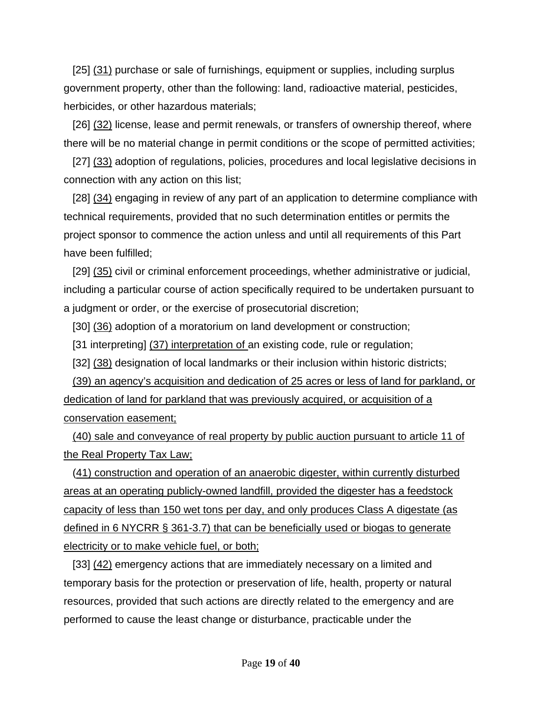[25] (31) purchase or sale of furnishings, equipment or supplies, including surplus government property, other than the following: land, radioactive material, pesticides, herbicides, or other hazardous materials;

 [26] (32) license, lease and permit renewals, or transfers of ownership thereof, where there will be no material change in permit conditions or the scope of permitted activities;

 [27] (33) adoption of regulations, policies, procedures and local legislative decisions in connection with any action on this list;

[28] (34) engaging in review of any part of an application to determine compliance with technical requirements, provided that no such determination entitles or permits the project sponsor to commence the action unless and until all requirements of this Part have been fulfilled;

 [29] (35) civil or criminal enforcement proceedings, whether administrative or judicial, including a particular course of action specifically required to be undertaken pursuant to a judgment or order, or the exercise of prosecutorial discretion;

[30] (36) adoption of a moratorium on land development or construction;

[31 interpreting] (37) interpretation of an existing code, rule or regulation;

[32] (38) designation of local landmarks or their inclusion within historic districts;

 (39) an agency's acquisition and dedication of 25 acres or less of land for parkland, or dedication of land for parkland that was previously acquired, or acquisition of a conservation easement;

 (40) sale and conveyance of real property by public auction pursuant to article 11 of the Real Property Tax Law;

 (41) construction and operation of an anaerobic digester, within currently disturbed areas at an operating publicly-owned landfill, provided the digester has a feedstock capacity of less than 150 wet tons per day, and only produces Class A digestate (as defined in 6 NYCRR § 361-3.7) that can be beneficially used or biogas to generate electricity or to make vehicle fuel, or both;

[33] (42) emergency actions that are immediately necessary on a limited and temporary basis for the protection or preservation of life, health, property or natural resources, provided that such actions are directly related to the emergency and are performed to cause the least change or disturbance, practicable under the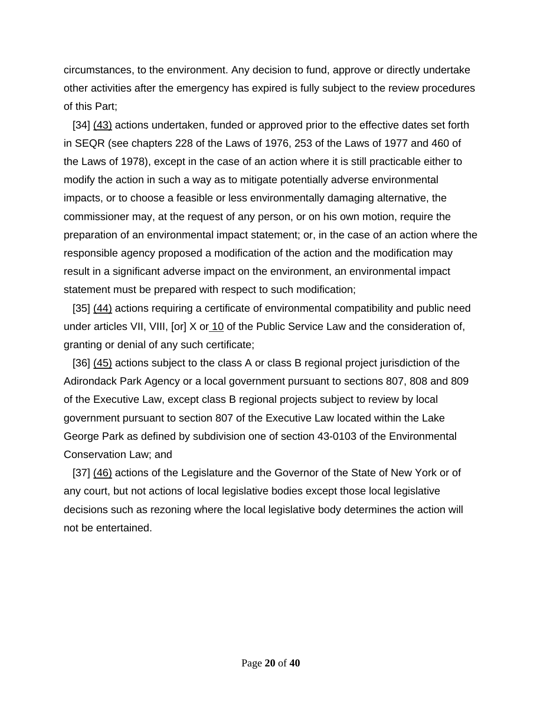circumstances, to the environment. Any decision to fund, approve or directly undertake other activities after the emergency has expired is fully subject to the review procedures of this Part;

[34] (43) actions undertaken, funded or approved prior to the effective dates set forth in SEQR (see chapters 228 of the Laws of 1976, 253 of the Laws of 1977 and 460 of the Laws of 1978), except in the case of an action where it is still practicable either to modify the action in such a way as to mitigate potentially adverse environmental impacts, or to choose a feasible or less environmentally damaging alternative, the commissioner may, at the request of any person, or on his own motion, require the preparation of an environmental impact statement; or, in the case of an action where the responsible agency proposed a modification of the action and the modification may result in a significant adverse impact on the environment, an environmental impact statement must be prepared with respect to such modification;

 [35] (44) actions requiring a certificate of environmental compatibility and public need under articles VII, VIII, [or] X or 10 of the Public Service Law and the consideration of, granting or denial of any such certificate;

[36] (45) actions subject to the class A or class B regional project jurisdiction of the Adirondack Park Agency or a local government pursuant to sections 807, 808 and 809 of the Executive Law, except class B regional projects subject to review by local government pursuant to section 807 of the Executive Law located within the Lake George Park as defined by subdivision one of section 43-0103 of the Environmental Conservation Law; and

[37] (46) actions of the Legislature and the Governor of the State of New York or of any court, but not actions of local legislative bodies except those local legislative decisions such as rezoning where the local legislative body determines the action will not be entertained.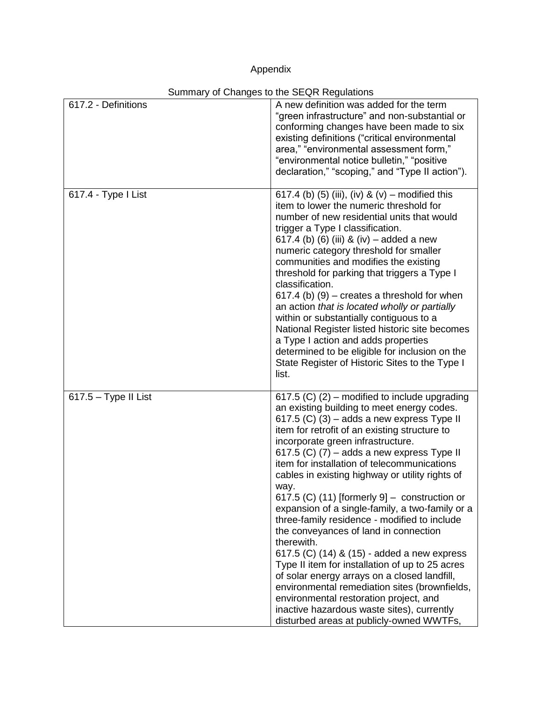# Appendix

|                        | Summary or Gridinges to the SEQN Negulations                                                                                                                                                                                                                                                                                                                                                                                                                                                                                                                                                                                                                                                                                                                                                                                                                                                                                                   |
|------------------------|------------------------------------------------------------------------------------------------------------------------------------------------------------------------------------------------------------------------------------------------------------------------------------------------------------------------------------------------------------------------------------------------------------------------------------------------------------------------------------------------------------------------------------------------------------------------------------------------------------------------------------------------------------------------------------------------------------------------------------------------------------------------------------------------------------------------------------------------------------------------------------------------------------------------------------------------|
| 617.2 - Definitions    | A new definition was added for the term<br>"green infrastructure" and non-substantial or<br>conforming changes have been made to six<br>existing definitions ("critical environmental<br>area," "environmental assessment form,"<br>"environmental notice bulletin," "positive<br>declaration," "scoping," and "Type II action").                                                                                                                                                                                                                                                                                                                                                                                                                                                                                                                                                                                                              |
| 617.4 - Type I List    | 617.4 (b) (5) (iii), (iv) & (v) – modified this<br>item to lower the numeric threshold for<br>number of new residential units that would<br>trigger a Type I classification.<br>617.4 (b) (6) (iii) & (iv) – added a new<br>numeric category threshold for smaller<br>communities and modifies the existing<br>threshold for parking that triggers a Type I<br>classification.<br>$617.4$ (b) (9) – creates a threshold for when<br>an action that is located wholly or partially<br>within or substantially contiguous to a<br>National Register listed historic site becomes<br>a Type I action and adds properties<br>determined to be eligible for inclusion on the<br>State Register of Historic Sites to the Type I<br>list.                                                                                                                                                                                                             |
| $617.5 - Type II List$ | 617.5 (C) (2) – modified to include upgrading<br>an existing building to meet energy codes.<br>617.5 (C) (3) – adds a new express Type II<br>item for retrofit of an existing structure to<br>incorporate green infrastructure.<br>617.5 (C) $(7)$ – adds a new express Type II<br>item for installation of telecommunications<br>cables in existing highway or utility rights of<br>way.<br>617.5 (C) (11) [formerly $9$ ] – construction or<br>expansion of a single-family, a two-family or a<br>three-family residence - modified to include<br>the conveyances of land in connection<br>therewith.<br>617.5 (C) (14) & (15) - added a new express<br>Type II item for installation of up to 25 acres<br>of solar energy arrays on a closed landfill,<br>environmental remediation sites (brownfields,<br>environmental restoration project, and<br>inactive hazardous waste sites), currently<br>disturbed areas at publicly-owned WWTFs, |

### Summary of Changes to the SEQR Regulations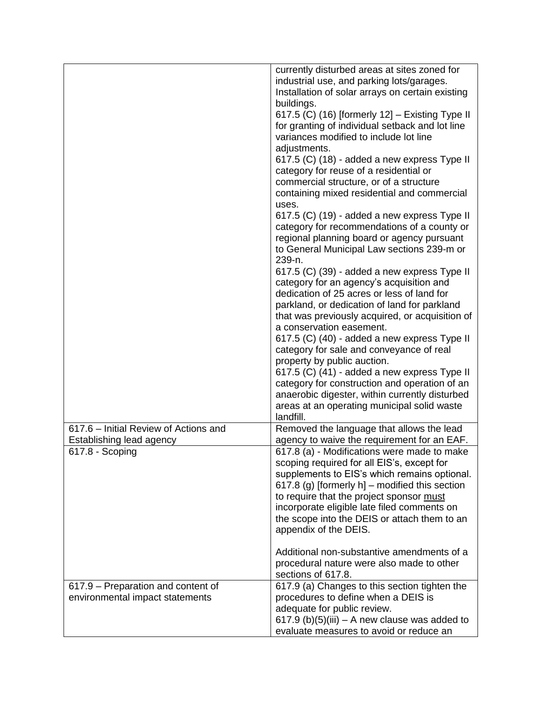|                                                                   | industrial use, and parking lots/garages.<br>Installation of solar arrays on certain existing                                                                |
|-------------------------------------------------------------------|--------------------------------------------------------------------------------------------------------------------------------------------------------------|
|                                                                   | buildings.                                                                                                                                                   |
|                                                                   | 617.5 (C) (16) [formerly 12] - Existing Type II<br>for granting of individual setback and lot line<br>variances modified to include lot line<br>adjustments. |
|                                                                   | 617.5 (C) (18) - added a new express Type II<br>category for reuse of a residential or<br>commercial structure, or of a structure                            |
|                                                                   | containing mixed residential and commercial<br>uses.                                                                                                         |
|                                                                   | 617.5 (C) (19) - added a new express Type II<br>category for recommendations of a county or                                                                  |
|                                                                   | regional planning board or agency pursuant<br>to General Municipal Law sections 239-m or<br>239-n.                                                           |
|                                                                   | 617.5 (C) (39) - added a new express Type II<br>category for an agency's acquisition and<br>dedication of 25 acres or less of land for                       |
|                                                                   | parkland, or dedication of land for parkland<br>that was previously acquired, or acquisition of                                                              |
|                                                                   | a conservation easement.<br>617.5 (C) (40) - added a new express Type II                                                                                     |
|                                                                   | category for sale and conveyance of real                                                                                                                     |
|                                                                   | property by public auction.<br>617.5 (C) (41) - added a new express Type II                                                                                  |
|                                                                   | category for construction and operation of an                                                                                                                |
|                                                                   | anaerobic digester, within currently disturbed<br>areas at an operating municipal solid waste                                                                |
|                                                                   | landfill.                                                                                                                                                    |
| 617.6 - Initial Review of Actions and<br>Establishing lead agency | Removed the language that allows the lead<br>agency to waive the requirement for an EAF.                                                                     |
| 617.8 - Scoping                                                   | 617.8 (a) - Modifications were made to make<br>scoping required for all EIS's, except for                                                                    |
|                                                                   | supplements to EIS's which remains optional.                                                                                                                 |
|                                                                   | 617.8 (g) [formerly h] – modified this section<br>to require that the project sponsor must                                                                   |
|                                                                   | incorporate eligible late filed comments on                                                                                                                  |
|                                                                   | the scope into the DEIS or attach them to an                                                                                                                 |
|                                                                   | appendix of the DEIS.                                                                                                                                        |
|                                                                   | Additional non-substantive amendments of a                                                                                                                   |
|                                                                   | procedural nature were also made to other<br>sections of 617.8.                                                                                              |
| 617.9 - Preparation and content of                                | 617.9 (a) Changes to this section tighten the                                                                                                                |
| environmental impact statements                                   | procedures to define when a DEIS is                                                                                                                          |
|                                                                   | adequate for public review.<br>617.9 (b)(5)(iii) $-$ A new clause was added to                                                                               |
|                                                                   | evaluate measures to avoid or reduce an                                                                                                                      |